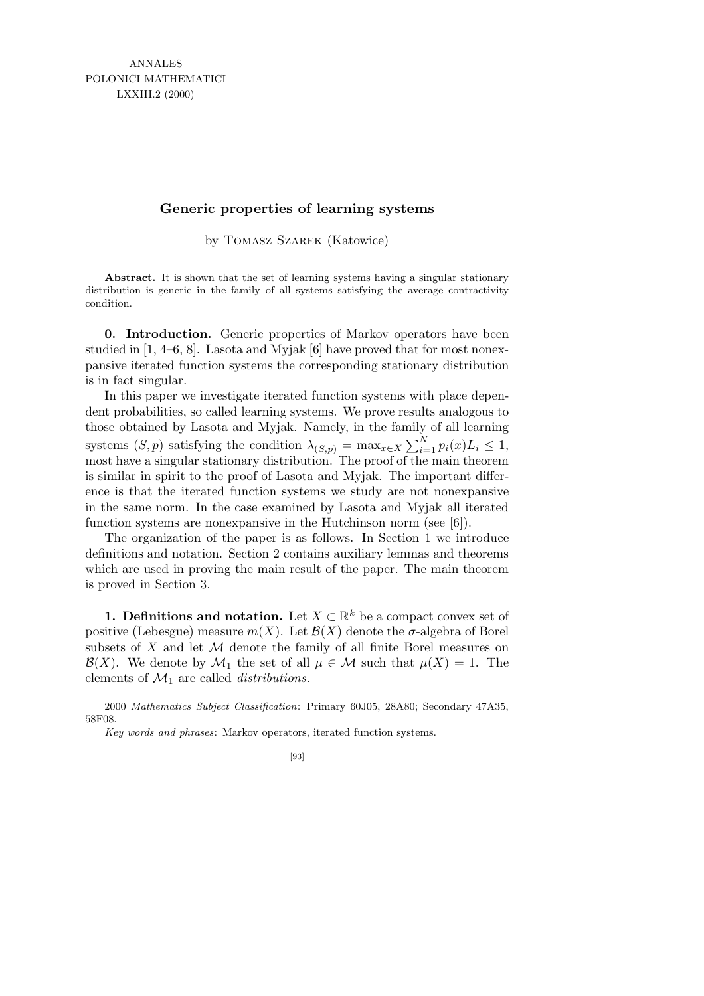## **Generic properties of learning systems**

by Tomasz Szarek (Katowice)

**Abstract.** It is shown that the set of learning systems having a singular stationary distribution is generic in the family of all systems satisfying the average contractivity condition.

0. Introduction. Generic properties of Markov operators have been studied in [1, 4–6, 8]. Lasota and Myjak [6] have proved that for most nonexpansive iterated function systems the corresponding stationary distribution is in fact singular.

In this paper we investigate iterated function systems with place dependent probabilities, so called learning systems. We prove results analogous to those obtained by Lasota and Myjak. Namely, in the family of all learning systems  $(S, p)$  satisfying the condition  $\lambda_{(S,p)} = \max_{x \in X} \sum_{i=1}^{N} p_i(x) L_i \leq 1$ , most have a singular stationary distribution. The proof of the main theorem is similar in spirit to the proof of Lasota and Myjak. The important difference is that the iterated function systems we study are not nonexpansive in the same norm. In the case examined by Lasota and Myjak all iterated function systems are nonexpansive in the Hutchinson norm (see [6]).

The organization of the paper is as follows. In Section 1 we introduce definitions and notation. Section 2 contains auxiliary lemmas and theorems which are used in proving the main result of the paper. The main theorem is proved in Section 3.

**1. Definitions and notation.** Let  $X \subset \mathbb{R}^k$  be a compact convex set of positive (Lebesgue) measure  $m(X)$ . Let  $\mathcal{B}(X)$  denote the  $\sigma$ -algebra of Borel subsets of  $X$  and let  $M$  denote the family of all finite Borel measures on  $\mathcal{B}(X)$ . We denote by  $\mathcal{M}_1$  the set of all  $\mu \in \mathcal{M}$  such that  $\mu(X) = 1$ . The elements of  $\mathcal{M}_1$  are called *distributions*.

<sup>2000</sup> *Mathematics Subject Classification*: Primary 60J05, 28A80; Secondary 47A35, 58F08.

*Key words and phrases*: Markov operators, iterated function systems.

<sup>[93]</sup>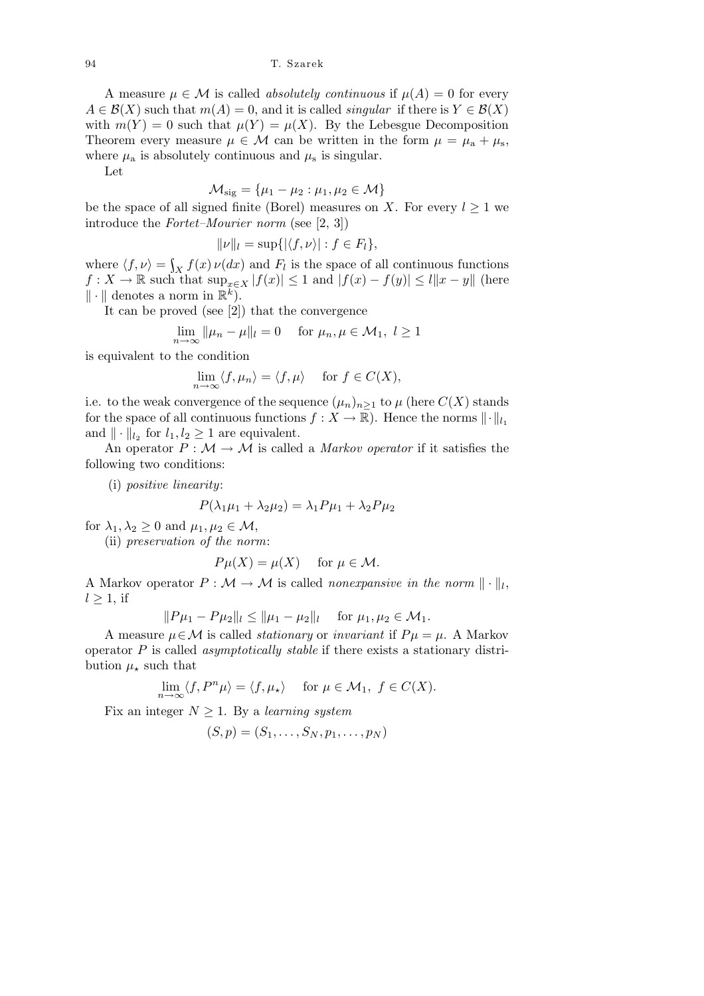A measure  $\mu \in \mathcal{M}$  is called *absolutely continuous* if  $\mu(A) = 0$  for every  $A \in \mathcal{B}(X)$  such that  $m(A) = 0$ , and it is called *singular* if there is  $Y \in \mathcal{B}(X)$ with  $m(Y) = 0$  such that  $\mu(Y) = \mu(X)$ . By the Lebesgue Decomposition Theorem every measure  $\mu \in \mathcal{M}$  can be written in the form  $\mu = \mu_a + \mu_s$ , where  $\mu_a$  is absolutely continuous and  $\mu_s$  is singular.

Let

$$
\mathcal{M}_{\text{sig}} = \{\mu_1 - \mu_2 : \mu_1, \mu_2 \in \mathcal{M}\}
$$

be the space of all signed finite (Borel) measures on X. For every  $l \geq 1$  we introduce the Fortet–Mourier norm (see [2, 3])

$$
\|\nu\|_l = \sup\{|\langle f, \nu\rangle| : f \in F_l\},\
$$

where  $\langle f, \nu \rangle = \int_X f(x) \nu(dx)$  and  $F_l$  is the space of all continuous functions  $f: X \to \mathbb{R}$  such that  $\sup_{x \in X} |f(x)| \leq 1$  and  $|f(x) - f(y)| \leq l||x - y||$  (here  $\|\cdot\|$  denotes a norm in  $\mathbb{R}^{\tilde{k}}$ .

It can be proved (see [2]) that the convergence

$$
\lim_{n \to \infty} ||\mu_n - \mu||_l = 0 \quad \text{for } \mu_n, \mu \in \mathcal{M}_1, l \ge 1
$$

is equivalent to the condition

$$
\lim_{n \to \infty} \langle f, \mu_n \rangle = \langle f, \mu \rangle \quad \text{ for } f \in C(X),
$$

i.e. to the weak convergence of the sequence  $(\mu_n)_{n>1}$  to  $\mu$  (here  $C(X)$  stands for the space of all continuous functions  $f : X \to \mathbb{R}$ . Hence the norms  $\|\cdot\|_{l_1}$ and  $\|\cdot\|_{l_2}$  for  $l_1, l_2 \geq 1$  are equivalent.

An operator  $P : \mathcal{M} \to \mathcal{M}$  is called a *Markov operator* if it satisfies the following two conditions:

(i) positive linearity:

$$
P(\lambda_1 \mu_1 + \lambda_2 \mu_2) = \lambda_1 P \mu_1 + \lambda_2 P \mu_2
$$

for  $\lambda_1, \lambda_2 \geq 0$  and  $\mu_1, \mu_2 \in \mathcal{M}$ ,

(ii) preservation of the norm:

$$
P\mu(X) = \mu(X) \quad \text{ for } \mu \in \mathcal{M}.
$$

A Markov operator  $P : \mathcal{M} \to \mathcal{M}$  is called *nonexpansive in the norm*  $\|\cdot\|_l$ ,  $l \geq 1$ , if

$$
||P\mu_1 - P\mu_2||_l \le ||\mu_1 - \mu_2||_l \quad \text{ for } \mu_1, \mu_2 \in \mathcal{M}_1.
$$

A measure  $\mu \in \mathcal{M}$  is called *stationary* or *invariant* if  $P\mu = \mu$ . A Markov operator  $P$  is called *asymptotically stable* if there exists a stationary distribution  $\mu_{\star}$  such that

$$
\lim_{n \to \infty} \langle f, P^n \mu \rangle = \langle f, \mu_\star \rangle \quad \text{ for } \mu \in \mathcal{M}_1, f \in C(X).
$$

Fix an integer  $N \geq 1$ . By a learning system

$$
(S,p)=(S_1,\ldots,S_N,p_1,\ldots,p_N)
$$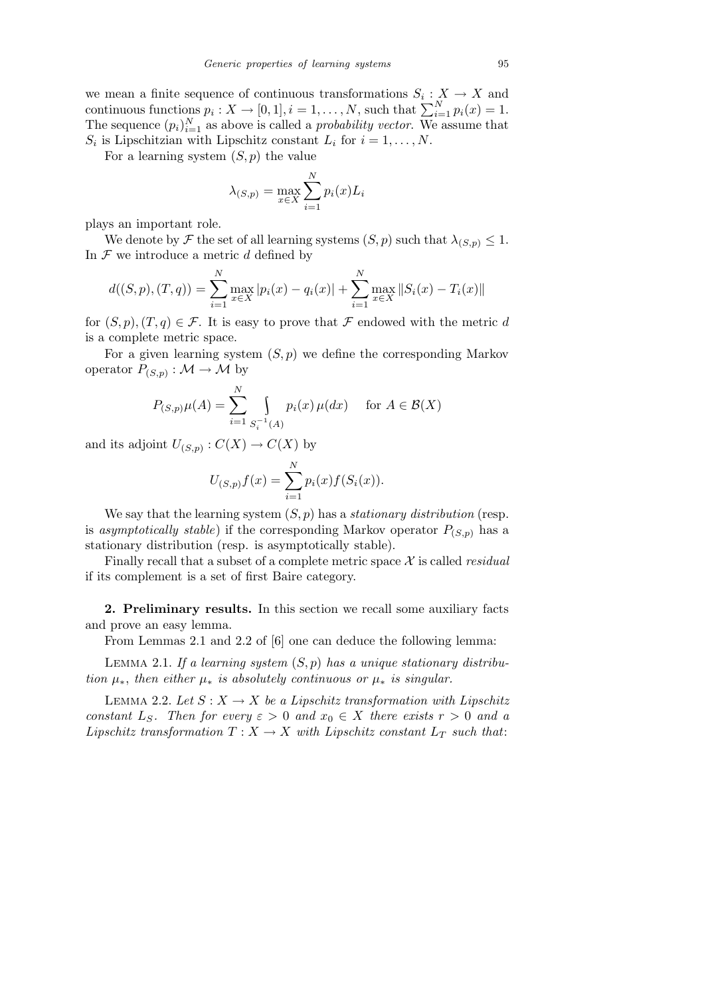we mean a finite sequence of continuous transformations  $S_i: X \to X$  and continuous functions  $p_i: X \to [0,1], i = 1, \ldots, N$ , such that  $\sum_{i=1}^{N} p_i(x) = 1$ . The sequence  $(p_i)_{i=1}^N$  as above is called a *probability vector*. We assume that  $S_i$  is Lipschitzian with Lipschitz constant  $L_i$  for  $i = 1, \ldots, N$ .

For a learning system  $(S, p)$  the value

$$
\lambda_{(S,p)} = \max_{x \in X} \sum_{i=1}^{N} p_i(x) L_i
$$

plays an important role.

We denote by F the set of all learning systems  $(S, p)$  such that  $\lambda_{(S,p)} \leq 1$ . In  $\mathcal F$  we introduce a metric  $d$  defined by

$$
d((S, p), (T, q)) = \sum_{i=1}^{N} \max_{x \in X} |p_i(x) - q_i(x)| + \sum_{i=1}^{N} \max_{x \in X} ||S_i(x) - T_i(x)||
$$

for  $(S, p), (T, q) \in \mathcal{F}$ . It is easy to prove that  $\mathcal F$  endowed with the metric d is a complete metric space.

For a given learning system  $(S, p)$  we define the corresponding Markov operator  $P_{(S,p)}: \mathcal{M} \to \mathcal{M}$  by

$$
P_{(S,p)}\mu(A) = \sum_{i=1}^{N} \int_{S_i^{-1}(A)} p_i(x) \mu(dx) \quad \text{for } A \in \mathcal{B}(X)
$$

and its adjoint  $U_{(S,p)} : C(X) \to C(X)$  by

$$
U_{(S,p)}f(x) = \sum_{i=1}^{N} p_i(x) f(S_i(x)).
$$

We say that the learning system  $(S, p)$  has a *stationary distribution* (resp. is asymptotically stable) if the corresponding Markov operator  $P_{(S,p)}$  has a stationary distribution (resp. is asymptotically stable).

Finally recall that a subset of a complete metric space  $X$  is called *residual* if its complement is a set of first Baire category.

2. Preliminary results. In this section we recall some auxiliary facts and prove an easy lemma.

From Lemmas 2.1 and 2.2 of [6] one can deduce the following lemma:

LEMMA 2.1. If a learning system  $(S, p)$  has a unique stationary distribution  $\mu_*$ , then either  $\mu_*$  is absolutely continuous or  $\mu_*$  is singular.

LEMMA 2.2. Let  $S: X \to X$  be a Lipschitz transformation with Lipschitz constant  $L_S$ . Then for every  $\varepsilon > 0$  and  $x_0 \in X$  there exists  $r > 0$  and a Lipschitz transformation  $T : X \to X$  with Lipschitz constant  $L_T$  such that: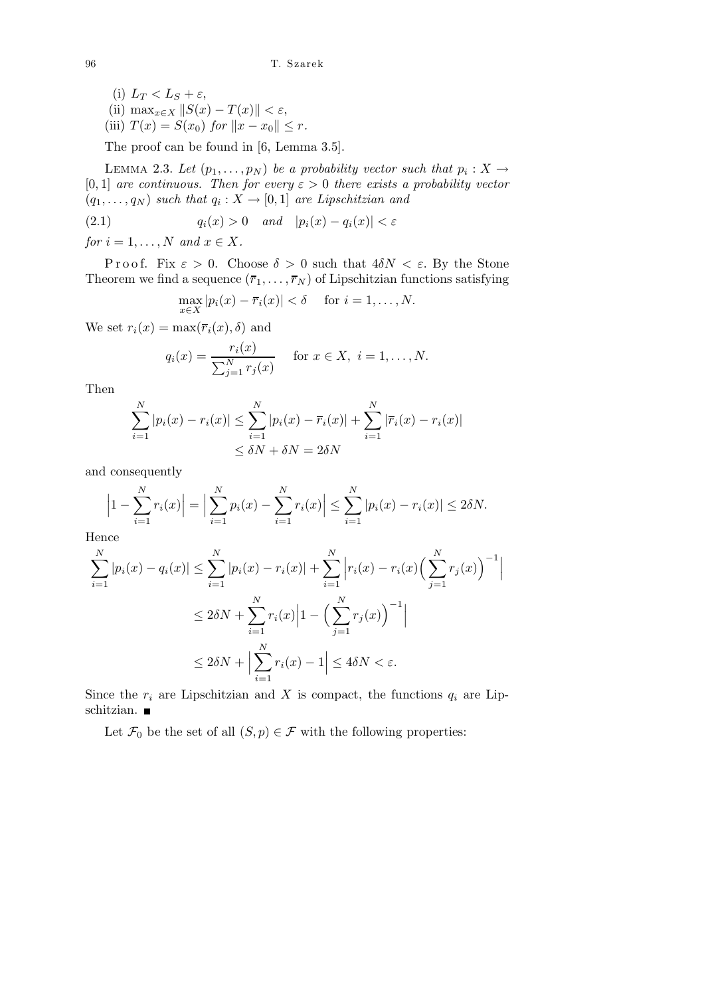(i) 
$$
L_T < L_S + \varepsilon
$$
,  
\n(ii)  $\max_{x \in X} \|S(x) - T(x)\| < \varepsilon$ ,  
\n(iii)  $T(x) = S(x_0)$  for  $\|x - x_0\| \leq r$ .

The proof can be found in [6, Lemma 3.5].

LEMMA 2.3. Let  $(p_1, \ldots, p_N)$  be a probability vector such that  $p_i : X \to Y$ [0, 1] are continuous. Then for every  $\varepsilon > 0$  there exists a probability vector  $(q_1, \ldots, q_N)$  such that  $q_i : X \to [0,1]$  are Lipschitzian and

$$
(2.1) \t\t q_i(x) > 0 \t and \t |p_i(x) - q_i(x)| < \varepsilon
$$

for  $i = 1, \ldots, N$  and  $x \in X$ .

P r o o f. Fix  $\varepsilon > 0$ . Choose  $\delta > 0$  such that  $4\delta N < \varepsilon$ . By the Stone Theorem we find a sequence  $(\bar{r}_1, \ldots, \bar{r}_N)$  of Lipschitzian functions satisfying

$$
\max_{x \in X} |p_i(x) - \overline{r}_i(x)| < \delta \quad \text{ for } i = 1, \dots, N.
$$

We set  $r_i(x) = \max(\overline{r_i}(x), \delta)$  and

$$
q_i(x) = \frac{r_i(x)}{\sum_{j=1}^N r_j(x)}
$$
 for  $x \in X$ ,  $i = 1,..., N$ .

Then

$$
\sum_{i=1}^{N} |p_i(x) - r_i(x)| \le \sum_{i=1}^{N} |p_i(x) - \overline{r}_i(x)| + \sum_{i=1}^{N} |\overline{r}_i(x) - r_i(x)|
$$
  

$$
\le \delta N + \delta N = 2\delta N
$$

and consequently

$$
\left|1 - \sum_{i=1}^{N} r_i(x)\right| = \left|\sum_{i=1}^{N} p_i(x) - \sum_{i=1}^{N} r_i(x)\right| \le \sum_{i=1}^{N} |p_i(x) - r_i(x)| \le 2\delta N.
$$

Hence

$$
\sum_{i=1}^{N} |p_i(x) - q_i(x)| \le \sum_{i=1}^{N} |p_i(x) - r_i(x)| + \sum_{i=1}^{N} \left| r_i(x) - r_i(x) \left( \sum_{j=1}^{N} r_j(x) \right)^{-1} \right|
$$
  

$$
\le 2\delta N + \sum_{i=1}^{N} r_i(x) \left| 1 - \left( \sum_{j=1}^{N} r_j(x) \right)^{-1} \right|
$$
  

$$
\le 2\delta N + \left| \sum_{i=1}^{N} r_i(x) - 1 \right| \le 4\delta N < \varepsilon.
$$

Since the  $r_i$  are Lipschitzian and X is compact, the functions  $q_i$  are Lipschitzian.

Let  $\mathcal{F}_0$  be the set of all  $(S, p) \in \mathcal{F}$  with the following properties: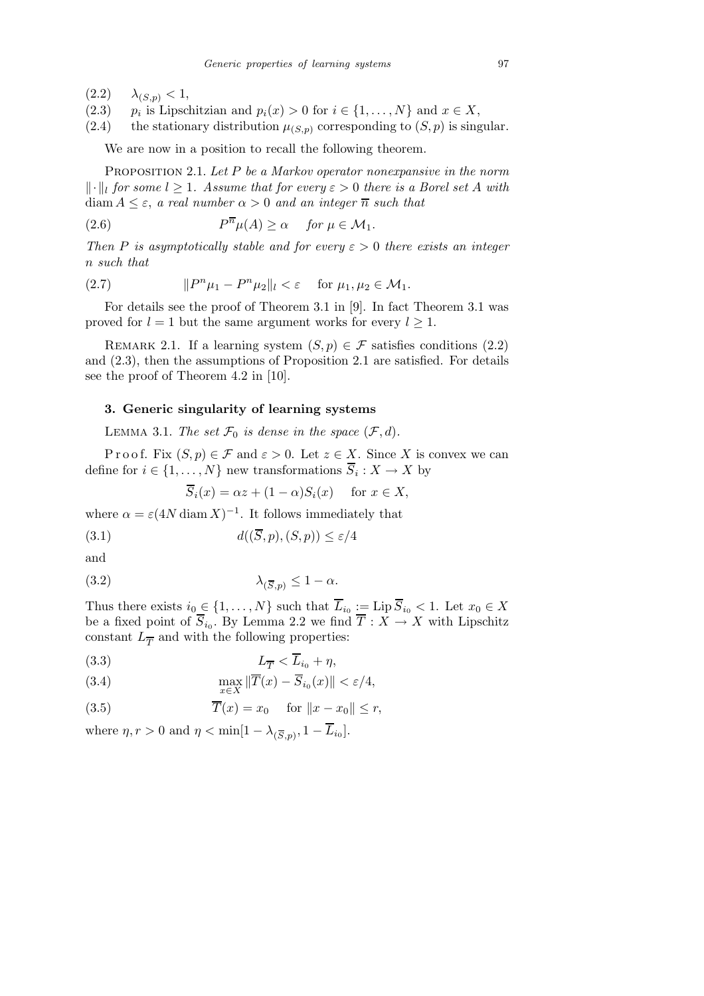- $(2.2)$   $\lambda_{(S,p)} < 1$ ,
- $(2.3)$  $p_i$  is Lipschitzian and  $p_i(x) > 0$  for  $i \in \{1, ..., N\}$  and  $x \in X$ ,
- (2.4) the stationary distribution  $\mu_{(S,p)}$  corresponding to  $(S, p)$  is singular.

We are now in a position to recall the following theorem.

PROPOSITION 2.1. Let  $P$  be a Markov operator nonexpansive in the norm  $\lVert \cdot \rVert_l$  for some  $l \geq 1$ . Assume that for every  $\varepsilon > 0$  there is a Borel set A with diam  $A \leq \varepsilon$ , a real number  $\alpha > 0$  and an integer  $\overline{n}$  such that

(2.6) 
$$
P^{\overline{n}}\mu(A) \geq \alpha \quad \text{for } \mu \in \mathcal{M}_1.
$$

Then P is asymptotically stable and for every  $\varepsilon > 0$  there exists an integer n such that

(2.7) 
$$
||P^{n}\mu_1 - P^{n}\mu_2||_l < \varepsilon \quad \text{for } \mu_1, \mu_2 \in \mathcal{M}_1.
$$

For details see the proof of Theorem 3.1 in [9]. In fact Theorem 3.1 was proved for  $l = 1$  but the same argument works for every  $l \geq 1$ .

REMARK 2.1. If a learning system  $(S, p) \in \mathcal{F}$  satisfies conditions  $(2.2)$ and (2.3), then the assumptions of Proposition 2.1 are satisfied. For details see the proof of Theorem 4.2 in [10].

## 3. Generic singularity of learning systems

LEMMA 3.1. The set  $\mathcal{F}_0$  is dense in the space  $(\mathcal{F}, d)$ .

P r o o f. Fix  $(S, p) \in \mathcal{F}$  and  $\varepsilon > 0$ . Let  $z \in X$ . Since X is convex we can define for  $i \in \{1, ..., N\}$  new transformations  $S_i: X \to X$  by

 $\overline{S}_i(x) = \alpha z + (1 - \alpha)S_i(x)$  for  $x \in X$ ,

where  $\alpha = \varepsilon (4N \operatorname{diam} X)^{-1}$ . It follows immediately that

$$
(3.1) \t d((S, p), (S, p)) \le \varepsilon/4
$$

and

$$
\lambda_{(\overline{S},p)} \le 1 - \alpha.
$$

Thus there exists  $i_0 \in \{1, ..., N\}$  such that  $L_{i_0} := \text{Lip } S_{i_0} < 1$ . Let  $x_0 \in X$ be a fixed point of  $S_{i_0}$ . By Lemma 2.2 we find  $T : X \to X$  with Lipschitz constant  $L_{\overline{T}}$  and with the following properties:

$$
(3.3) \t\t\t L_{\overline{T}} < L_{i_0} + \eta,
$$

(3.4) 
$$
\max_{x \in X} \|\overline{T}(x) - \overline{S}_{i_0}(x)\| < \varepsilon/4,
$$

(3.5) 
$$
\overline{T}(x) = x_0 \quad \text{for } \|x - x_0\| \le r,
$$

where  $\eta, r > 0$  and  $\eta < \min[1 - \lambda_{(\overline{S}, p)}, 1 - L_{i_0}].$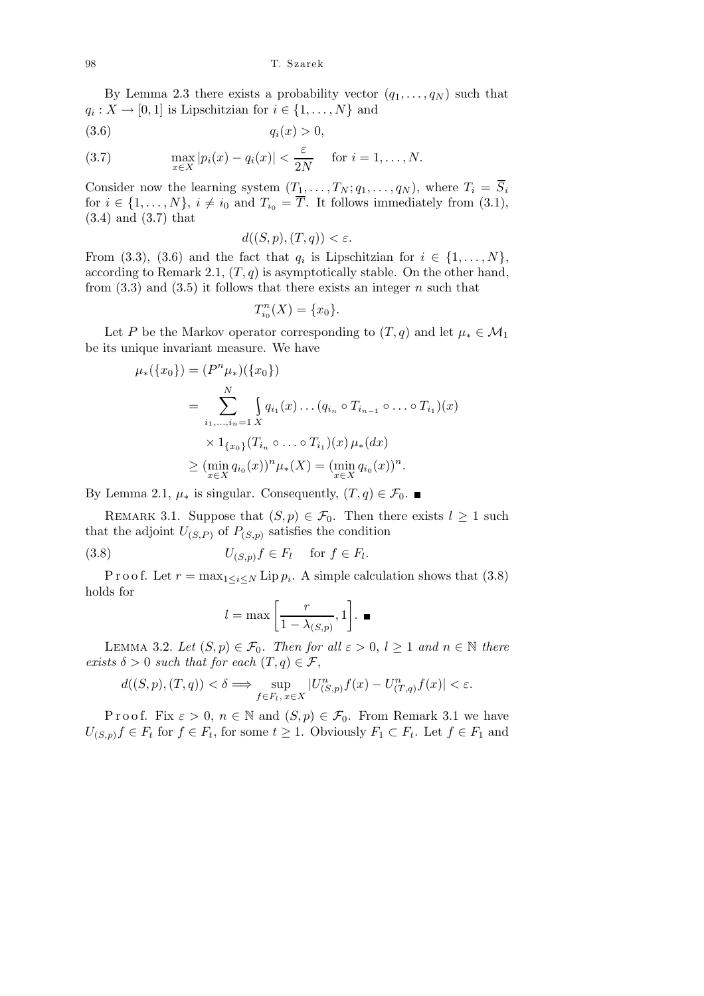By Lemma 2.3 there exists a probability vector  $(q_1, \ldots, q_N)$  such that  $q_i: X \to [0,1]$  is Lipschitzian for  $i \in \{1, \ldots, N\}$  and

$$
(3.6) \t\t q_i(x) > 0,
$$

(3.7) 
$$
\max_{x \in X} |p_i(x) - q_i(x)| < \frac{\varepsilon}{2N} \quad \text{for } i = 1, \dots, N.
$$

Consider now the learning system  $(T_1, \ldots, T_N; q_1, \ldots, q_N)$ , where  $T_i = \overline{S}_i$ for  $i \in \{1, \ldots, N\}$ ,  $i \neq i_0$  and  $T_{i_0} = \overline{T}$ . It follows immediately from (3.1), (3.4) and (3.7) that

$$
d((S, p), (T, q)) < \varepsilon.
$$

From (3.3), (3.6) and the fact that  $q_i$  is Lipschitzian for  $i \in \{1, \ldots, N\}$ , according to Remark 2.1,  $(T, q)$  is asymptotically stable. On the other hand, from  $(3.3)$  and  $(3.5)$  it follows that there exists an integer n such that

$$
T_{i_0}^n(X) = \{x_0\}.
$$

Let P be the Markov operator corresponding to  $(T, q)$  and let  $\mu_* \in \mathcal{M}_1$ be its unique invariant measure. We have

$$
\mu_{*}(\{x_{0}\}) = (P^{n}\mu_{*})(\{x_{0}\})
$$
  
= 
$$
\sum_{i_{1},...,i_{n}=1}^{N} \int q_{i_{1}}(x) \dots (q_{i_{n}} \circ T_{i_{n-1}} \circ \dots \circ T_{i_{1}})(x)
$$
  

$$
\times 1_{\{x_{0}\}}(T_{i_{n}} \circ \dots \circ T_{i_{1}})(x) \mu_{*}(dx)
$$
  

$$
\geq (\min_{x \in X} q_{i_{0}}(x))^{n} \mu_{*}(X) = (\min_{x \in X} q_{i_{0}}(x))^{n}.
$$

By Lemma 2.1,  $\mu_*$  is singular. Consequently,  $(T, q) \in \mathcal{F}_0$ . ■

REMARK 3.1. Suppose that  $(S, p) \in \mathcal{F}_0$ . Then there exists  $l \geq 1$  such that the adjoint  $U_{(S,P)}$  of  $P_{(S,p)}$  satisfies the condition

(3.8) 
$$
U_{(S,p)}f \in F_l \quad \text{for } f \in F_l.
$$

P r o o f. Let  $r = \max_{1 \leq i \leq N}$  Lip  $p_i$ . A simple calculation shows that  $(3.8)$ holds for

$$
l = \max\left[\frac{r}{1 - \lambda_{(S,p)}}, 1\right].
$$

LEMMA 3.2. Let  $(S, p) \in \mathcal{F}_0$ . Then for all  $\varepsilon > 0$ ,  $l \geq 1$  and  $n \in \mathbb{N}$  there exists  $\delta > 0$  such that for each  $(T, q) \in \mathcal{F}$ ,

$$
d((S,p),(T,q)) < \delta \Longrightarrow \sup_{f \in F_l, x \in X} |U^{n}_{(S,p)}f(x) - U^{n}_{(T,q)}f(x)| < \varepsilon.
$$

P r o o f. Fix  $\varepsilon > 0$ ,  $n \in \mathbb{N}$  and  $(S, p) \in \mathcal{F}_0$ . From Remark 3.1 we have  $U_{(S,p)}f \in F_t$  for  $f \in F_t$ , for some  $t \geq 1$ . Obviously  $F_1 \subset F_t$ . Let  $f \in F_1$  and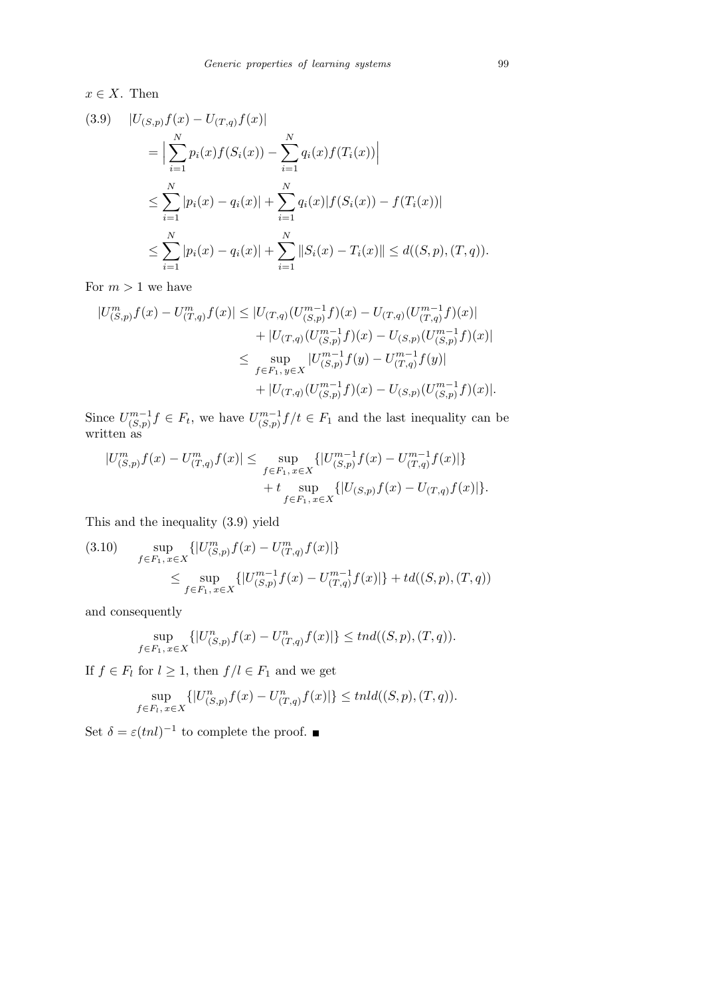$x \in X$ . Then

$$
(3.9) \quad |U_{(S,p)}f(x) - U_{(T,q)}f(x)|
$$
  
\n
$$
= \Big| \sum_{i=1}^{N} p_i(x)f(S_i(x)) - \sum_{i=1}^{N} q_i(x)f(T_i(x)) \Big|
$$
  
\n
$$
\leq \sum_{i=1}^{N} |p_i(x) - q_i(x)| + \sum_{i=1}^{N} q_i(x)|f(S_i(x)) - f(T_i(x))|
$$
  
\n
$$
\leq \sum_{i=1}^{N} |p_i(x) - q_i(x)| + \sum_{i=1}^{N} ||S_i(x) - T_i(x)|| \leq d((S, p), (T, q)).
$$

For  $m > 1$  we have

$$
|U_{(S,p)}^m f(x) - U_{(T,q)}^m f(x)| \le |U_{(T,q)}(U_{(S,p)}^{m-1} f)(x) - U_{(T,q)}(U_{(T,q)}^{m-1} f)(x)|
$$
  
+ |U\_{(T,q)}(U\_{(S,p)}^{m-1} f)(x) - U\_{(S,p)}(U\_{(S,p)}^{m-1} f)(x)|  

$$
\le \sup_{f \in F_1, y \in X} |U_{(S,p)}^{m-1} f(y) - U_{(T,q)}^{m-1} f(y)|
$$
  
+ |U\_{(T,q)}(U\_{(S,p)}^{m-1} f)(x) - U\_{(S,p)}(U\_{(S,p)}^{m-1} f)(x)|.

Since  $U_{(S,n)}^{m-1}$  $\{C_{(S,p)}^{m-1} \} \in F_t$ , we have  $U_{(S,p)}^{m-1}$  $\binom{m-1}{(S,p)} f/t \in F_1$  and the last inequality can be written as

$$
|U_{(S,p)}^m f(x) - U_{(T,q)}^m f(x)| \le \sup_{f \in F_1, x \in X} \{ |U_{(S,p)}^{m-1} f(x) - U_{(T,q)}^{m-1} f(x)| \} + t \sup_{f \in F_1, x \in X} \{ |U_{(S,p)} f(x) - U_{(T,q)} f(x)| \}.
$$

This and the inequality (3.9) yield

$$
(3.10) \quad \sup_{f \in F_1, x \in X} \{ |U^{m}_{(S,p)} f(x) - U^{m}_{(T,q)} f(x)| \}
$$
  

$$
\leq \sup_{f \in F_1, x \in X} \{ |U^{m-1}_{(S,p)} f(x) - U^{m-1}_{(T,q)} f(x)| \} + td((S,p),(T,q))
$$

and consequently

$$
\sup_{f \in F_1, x \in X} \{ |U_{(S,p)}^n f(x) - U_{(T,q)}^n f(x)| \} \leq tnd((S,p),(T,q)).
$$

If  $f \in F_l$  for  $l \geq 1$ , then  $f/l \in F_1$  and we get

$$
\sup_{f \in F_l, x \in X} \{|U_{(S,p)}^n f(x) - U_{(T,q)}^n f(x)|\} \le thld((S,p),(T,q)).
$$

Set  $\delta = \varepsilon (tnl)^{-1}$  to complete the proof.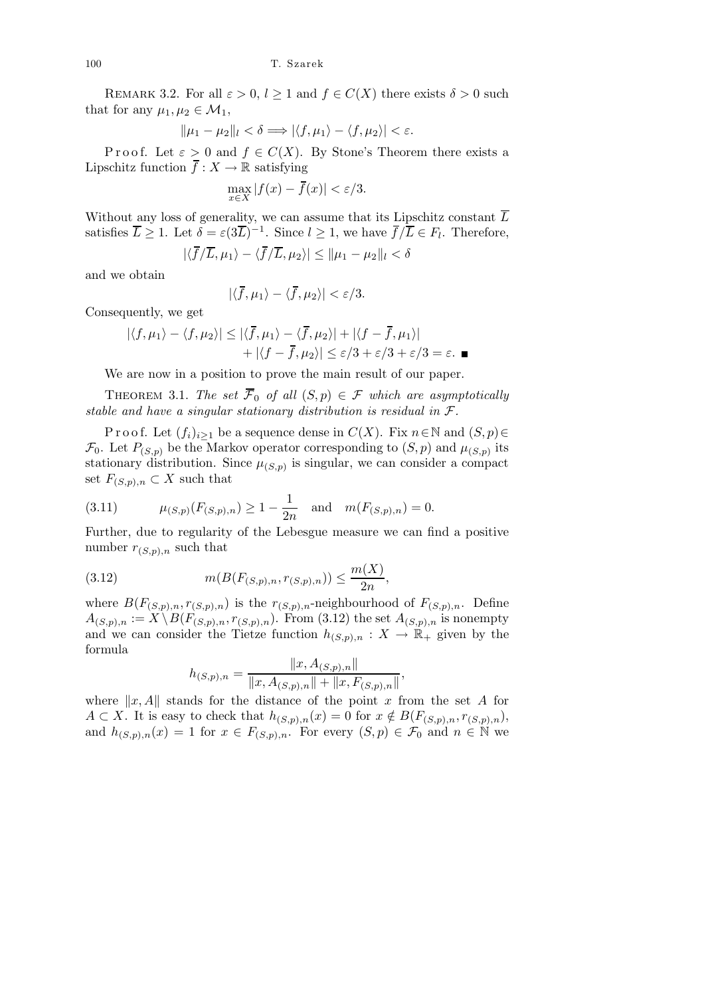REMARK 3.2. For all  $\varepsilon > 0$ ,  $l \geq 1$  and  $f \in C(X)$  there exists  $\delta > 0$  such that for any  $\mu_1, \mu_2 \in \mathcal{M}_1$ ,

$$
\|\mu_1 - \mu_2\|_l < \delta \Longrightarrow |\langle f, \mu_1 \rangle - \langle f, \mu_2 \rangle| < \varepsilon.
$$

P r o o f. Let  $\varepsilon > 0$  and  $f \in C(X)$ . By Stone's Theorem there exists a Lipschitz function  $\overline{f} : X \to \mathbb{R}$  satisfying

$$
\max_{x \in X} |f(x) - \overline{f}(x)| < \varepsilon/3.
$$

Without any loss of generality, we can assume that its Lipschitz constant  $\overline{L}$ satisfies  $\overline{L} \geq 1$ . Let  $\delta = \varepsilon (3\overline{L})^{-1}$ . Since  $l \geq 1$ , we have  $\overline{f}/\overline{L} \in F_l$ . Therefore,

$$
|\langle \overline{f}/\overline{L}, \mu_1 \rangle - \langle \overline{f}/\overline{L}, \mu_2 \rangle| \le ||\mu_1 - \mu_2||_l < \delta
$$

and we obtain

$$
|\langle \overline{f}, \mu_1 \rangle - \langle \overline{f}, \mu_2 \rangle| < \varepsilon/3.
$$

Consequently, we get

$$
|\langle f, \mu_1 \rangle - \langle f, \mu_2 \rangle| \le |\langle \overline{f}, \mu_1 \rangle - \langle \overline{f}, \mu_2 \rangle| + |\langle f - \overline{f}, \mu_1 \rangle|
$$
  
+  $|\langle f - \overline{f}, \mu_2 \rangle| \le \varepsilon/3 + \varepsilon/3 + \varepsilon/3 = \varepsilon.$ 

We are now in a position to prove the main result of our paper.

THEOREM 3.1. The set  $\overline{\mathcal{F}}_0$  of all  $(S, p) \in \mathcal{F}$  which are asymptotically stable and have a singular stationary distribution is residual in  $\mathcal{F}.$ 

P r o o f. Let  $(f_i)_{i\geq 1}$  be a sequence dense in  $C(X)$ . Fix  $n \in \mathbb{N}$  and  $(S, p) \in$  $\mathcal{F}_0$ . Let  $P_{(S,p)}$  be the Markov operator corresponding to  $(S,p)$  and  $\mu_{(S,p)}$  its stationary distribution. Since  $\mu_{(S,p)}$  is singular, we can consider a compact set  $F_{(S,p),n} \subset X$  such that

(3.11) 
$$
\mu_{(S,p)}(F_{(S,p),n}) \ge 1 - \frac{1}{2n}
$$
 and  $m(F_{(S,p),n}) = 0$ .

Further, due to regularity of the Lebesgue measure we can find a positive number  $r_{(S,p),n}$  such that

(3.12) 
$$
m(B(F_{(S,p),n}, r_{(S,p),n})) \leq \frac{m(X)}{2n},
$$

where  $B(F_{(S,p),n}, r_{(S,p),n})$  is the  $r_{(S,p),n}$ -neighbourhood of  $F_{(S,p),n}$ . Define  $A_{(S,p),n} := X \setminus B(F_{(S,p),n}, r_{(S,p),n}).$  From (3.12) the set  $A_{(S,p),n}$  is nonempty and we can consider the Tietze function  $h_{(S,p),n}: X \to \mathbb{R}_+$  given by the formula

$$
h_{(S,p),n} = \frac{\|x, A_{(S,p),n}\|}{\|x, A_{(S,p),n}\| + \|x, F_{(S,p),n}\|},
$$

where  $||x, A||$  stands for the distance of the point x from the set A for  $A \subset X$ . It is easy to check that  $h_{(S,p),n}(x) = 0$  for  $x \notin B(F_{(S,p),n}, r_{(S,p),n}),$ and  $h_{(S,p),n}(x) = 1$  for  $x \in F_{(S,p),n}$ . For every  $(S,p) \in \mathcal{F}_0$  and  $n \in \mathbb{N}$  we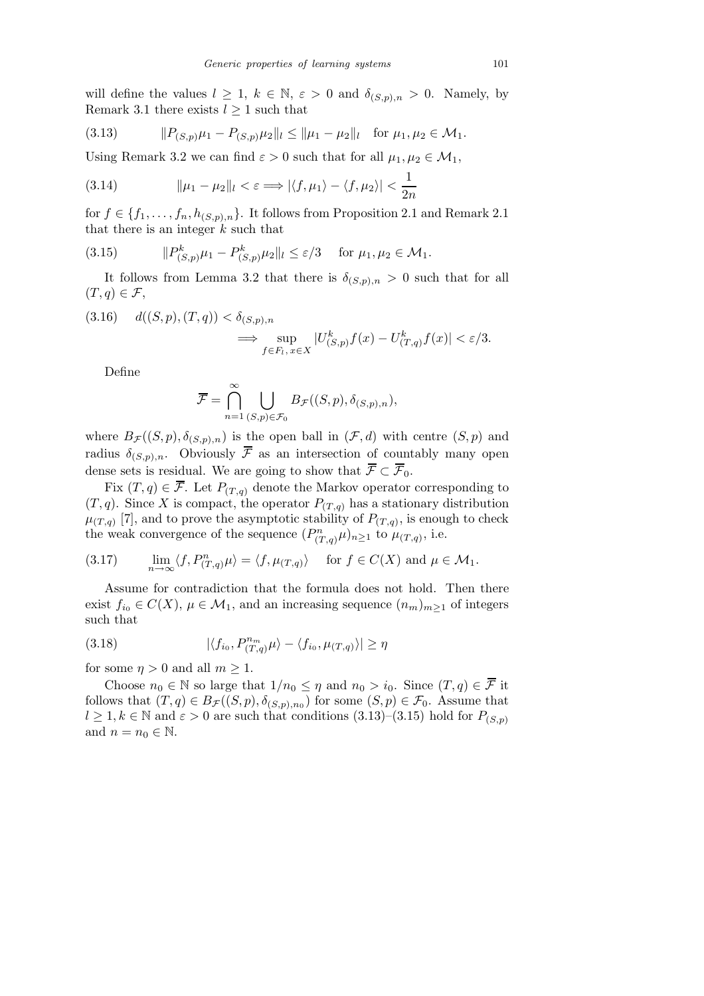will define the values  $l \geq 1, k \in \mathbb{N}, \varepsilon > 0$  and  $\delta_{(S,p),n} > 0$ . Namely, by Remark 3.1 there exists  $l \geq 1$  such that

(3.13) 
$$
||P_{(S,p)}\mu_1 - P_{(S,p)}\mu_2||_l \le ||\mu_1 - \mu_2||_l \text{ for } \mu_1, \mu_2 \in \mathcal{M}_1.
$$

Using Remark 3.2 we can find  $\varepsilon > 0$  such that for all  $\mu_1, \mu_2 \in \mathcal{M}_1$ ,

(3.14) 
$$
\|\mu_1 - \mu_2\|_l < \varepsilon \Longrightarrow |\langle f, \mu_1 \rangle - \langle f, \mu_2 \rangle| < \frac{1}{2n}
$$

for  $f \in \{f_1, \ldots, f_n, h_{(S,p),n}\}.$  It follows from Proposition 2.1 and Remark 2.1 that there is an integer  $k$  such that

(3.15) 
$$
||P^k_{(S,p)}\mu_1 - P^k_{(S,p)}\mu_2||_l \leq \varepsilon/3 \quad \text{for } \mu_1, \mu_2 \in \mathcal{M}_1.
$$

It follows from Lemma 3.2 that there is  $\delta_{(S,p),n} > 0$  such that for all  $(T, q) \in \mathcal{F}$ ,

$$
(3.16) \quad d((S, p), (T, q)) < \delta_{(S, p), n} \le \sup_{f \in F_l, x \in X} |U^k_{(S, p)} f(x) - U^k_{(T, q)} f(x)| < \varepsilon/3.
$$

Define

$$
\overline{\mathcal{F}} = \bigcap_{n=1}^{\infty} \bigcup_{(S,p)\in\mathcal{F}_0} B_{\mathcal{F}}((S,p), \delta_{(S,p),n}),
$$

where  $B_{\mathcal{F}}((S,p), \delta_{(S,p),n})$  is the open ball in  $(\mathcal{F}, d)$  with centre  $(S, p)$  and radius  $\delta_{(S,p),n}$ . Obviously  $\bar{\mathcal{F}}$  as an intersection of countably many open dense sets is residual. We are going to show that  $\overline{\mathcal{F}} \subset \overline{\mathcal{F}}_0$ .

Fix  $(T, q) \in \overline{\mathcal{F}}$ . Let  $P_{(T, q)}$  denote the Markov operator corresponding to  $(T, q)$ . Since X is compact, the operator  $P_{(T,q)}$  has a stationary distribution  $\mu_{(T,q)}$  [7], and to prove the asymptotic stability of  $P_{(T,q)}$ , is enough to check the weak convergence of the sequence  $(P_{(T,q)}^n \mu)_{n\geq 1}$  to  $\mu_{(T,q)}$ , i.e.

(3.17) 
$$
\lim_{n \to \infty} \langle f, P_{(T,q)}^n \mu \rangle = \langle f, \mu_{(T,q)} \rangle \quad \text{for } f \in C(X) \text{ and } \mu \in \mathcal{M}_1.
$$

Assume for contradiction that the formula does not hold. Then there exist  $f_{i_0} \in C(X)$ ,  $\mu \in \mathcal{M}_1$ , and an increasing sequence  $(n_m)_{m \geq 1}$  of integers such that

(3.18) 
$$
|\langle f_{i_0}, P_{(T,q)}^{n_m} \mu \rangle - \langle f_{i_0}, \mu_{(T,q)} \rangle| \ge \eta
$$

for some  $\eta > 0$  and all  $m \geq 1$ .

Choose  $n_0 \in \mathbb{N}$  so large that  $1/n_0 \leq \eta$  and  $n_0 > i_0$ . Since  $(T, q) \in \overline{\mathcal{F}}$  it follows that  $(T, q) \in B_{\mathcal{F}}((S, p), \delta_{(S, p), n_0})$  for some  $(S, p) \in \mathcal{F}_0$ . Assume that  $l \geq 1, k \in \mathbb{N}$  and  $\varepsilon > 0$  are such that conditions  $(3.13)-(3.15)$  hold for  $P_{(S,p)}$ and  $n = n_0 \in \mathbb{N}$ .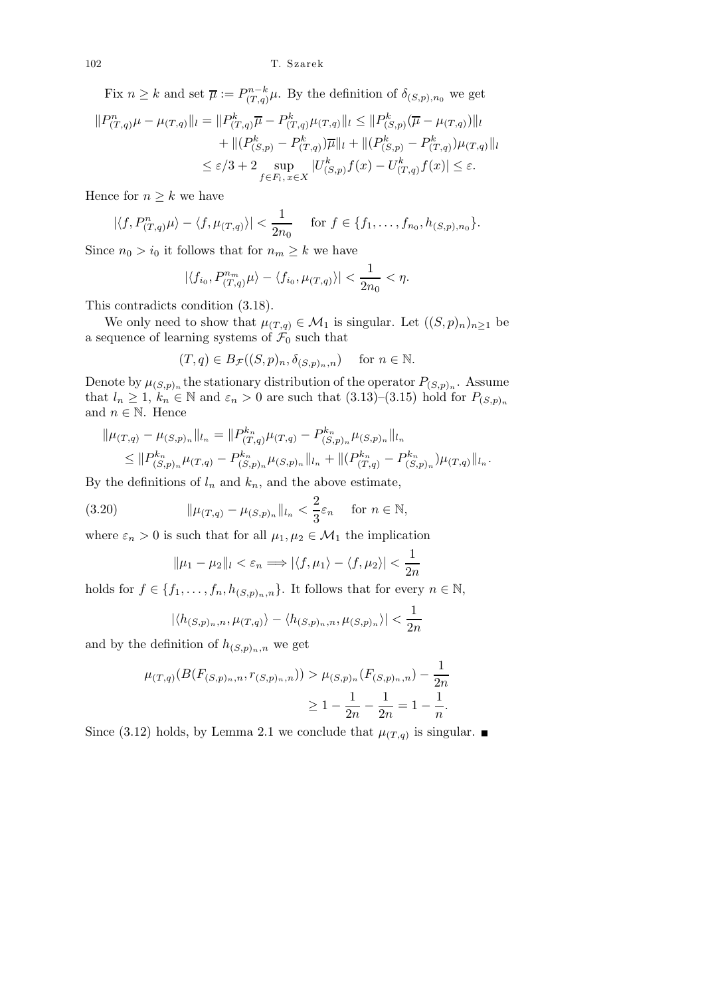102 T. Szarek

Fix  $n \geq k$  and set  $\overline{\mu} := P_{(T,a)}^{n-k}$  $C_{(T,q)}^{n-k}$ μ. By the definition of  $\delta_{(S,p),n_0}$  we get

$$
||P_{(T,q)}^{n}\mu - \mu_{(T,q)}||_{l} = ||P_{(T,q)}^{k}\overline{\mu} - P_{(T,q)}^{k}\mu_{(T,q)}||_{l} \leq ||P_{(S,p)}^{k}(\overline{\mu} - \mu_{(T,q)})||_{l} + ||(P_{(S,p)}^{k} - P_{(T,q)}^{k})\overline{\mu}||_{l} + ||(P_{(S,p)}^{k} - P_{(T,q)}^{k})\mu_{(T,q)}||_{l} \leq \varepsilon/3 + 2 \sup_{f \in F_{l}, x \in X} |U_{(S,p)}^{k}f(x) - U_{(T,q)}^{k}f(x)| \leq \varepsilon.
$$

Hence for  $n \geq k$  we have

$$
|\langle f, P_{(T,q)}^n \mu \rangle - \langle f, \mu_{(T,q)} \rangle| < \frac{1}{2n_0}
$$
 for  $f \in \{f_1, \ldots, f_{n_0}, h_{(S,p), n_0}\}.$ 

Since  $n_0 > i_0$  it follows that for  $n_m \geq k$  we have

$$
|\langle f_{i_0}, P_{(T,q)}^{n_m} \mu \rangle - \langle f_{i_0}, \mu_{(T,q)} \rangle| < \frac{1}{2n_0} < \eta.
$$

This contradicts condition (3.18).

We only need to show that  $\mu_{(T,q)} \in \mathcal{M}_1$  is singular. Let  $((S,p)_n)_{n \geq 1}$  be a sequence of learning systems of  $\mathcal{F}_0$  such that

$$
(T, q) \in B_{\mathcal{F}}((S, p)_n, \delta_{(S, p)_n, n})
$$
 for  $n \in \mathbb{N}$ .

Denote by  $\mu_{(S,p)_n}$  the stationary distribution of the operator  $P_{(S,p)_n}$ . Assume that  $l_n \geq 1$ ,  $k_n \in \mathbb{N}$  and  $\varepsilon_n > 0$  are such that  $(3.13)$ – $(3.15)$  hold for  $P_{(S,p)_n}$ and  $n \in \mathbb{N}$ . Hence

$$
\|\mu_{(T,q)} - \mu_{(S,p)_n}\|_{l_n} = \|P_{(T,q)}^{k_n}\mu_{(T,q)} - P_{(S,p)_n}^{k_n}\mu_{(S,p)_n}\|_{l_n}
$$
  

$$
\leq \|P_{(S,p)_n}^{k_n}\mu_{(T,q)} - P_{(S,p)_n}^{k_n}\mu_{(S,p)_n}\|_{l_n} + \| (P_{(T,q)}^{k_n} - P_{(S,p)_n}^{k_n})\mu_{(T,q)}\|_{l_n}.
$$

By the definitions of  $l_n$  and  $k_n$ , and the above estimate,

(3.20) 
$$
\|\mu_{(T,q)} - \mu_{(S,p)_n}\|_{l_n} < \frac{2}{3}\varepsilon_n \quad \text{for } n \in \mathbb{N},
$$

where  $\varepsilon_n > 0$  is such that for all  $\mu_1, \mu_2 \in \mathcal{M}_1$  the implication

$$
\|\mu_1 - \mu_2\|_l < \varepsilon_n \Longrightarrow |\langle f, \mu_1 \rangle - \langle f, \mu_2 \rangle| < \frac{1}{2n}
$$

holds for  $f \in \{f_1, \ldots, f_n, h_{(S,p)_n,n}\}.$  It follows that for every  $n \in \mathbb{N}$ ,

$$
|\langle h_{(S,p)_n,n}, \mu_{(T,q)} \rangle - \langle h_{(S,p)_n,n}, \mu_{(S,p)_n} \rangle| < \frac{1}{2n}
$$

and by the definition of  $h_{(S,p)_n,n}$  we get

$$
\mu_{(T,q)}(B(F_{(S,p)_n,n}, r_{(S,p)_n,n})) > \mu_{(S,p)_n}(F_{(S,p)_n,n}) - \frac{1}{2n}
$$

$$
\geq 1 - \frac{1}{2n} - \frac{1}{2n} = 1 - \frac{1}{n}.
$$

Since (3.12) holds, by Lemma 2.1 we conclude that  $\mu_{(T,q)}$  is singular.